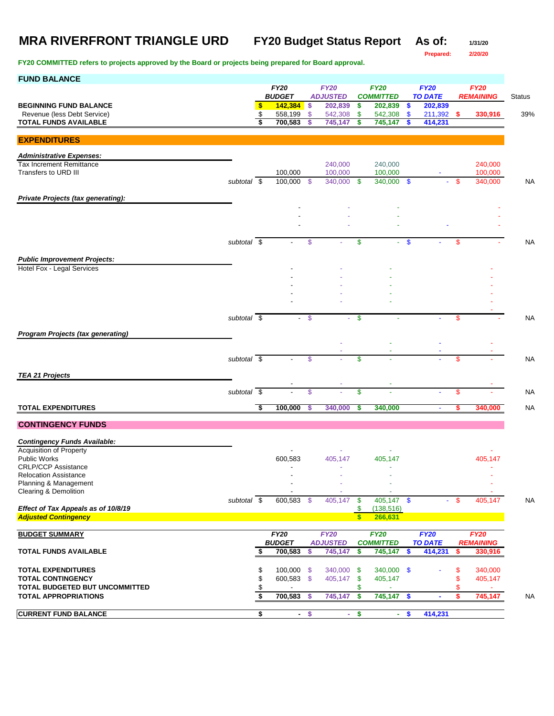**Prepared: 2/20/20**

| <b>FUND BALANCE</b>                                               |                          |                         |                          |            |                    |                     |                          |                     |                       |          |                   |               |
|-------------------------------------------------------------------|--------------------------|-------------------------|--------------------------|------------|--------------------|---------------------|--------------------------|---------------------|-----------------------|----------|-------------------|---------------|
|                                                                   |                          |                         | <b>FY20</b>              |            | <b>FY20</b>        |                     | <b>FY20</b>              |                     | <b>FY20</b>           |          | <b>FY20</b>       |               |
|                                                                   |                          |                         | <b>BUDGET</b>            |            | <b>ADJUSTED</b>    |                     | <b>COMMITTED</b>         |                     | <b>TO DATE</b>        |          | <b>REMAINING</b>  | <b>Status</b> |
| <b>BEGINNING FUND BALANCE</b><br>Revenue (less Debt Service)      |                          | $\bullet$<br>\$         | 142,384<br>558,199       | \$<br>\$   | 202,839<br>542,308 | \$<br>\$            | 202,839<br>542,308       | \$<br>$\mathbf{\$}$ | 202,839<br>211,392 \$ |          | 330,916           | 39%           |
| <b>TOTAL FUNDS AVAILABLE</b>                                      |                          | s                       | 700,583                  | S          | 745,147            | \$                  | 745,147                  | \$                  | 414,231               |          |                   |               |
|                                                                   |                          |                         |                          |            |                    |                     |                          |                     |                       |          |                   |               |
| <b>EXPENDITURES</b>                                               |                          |                         |                          |            |                    |                     |                          |                     |                       |          |                   |               |
| <b>Administrative Expenses:</b>                                   |                          |                         |                          |            |                    |                     |                          |                     |                       |          |                   |               |
| <b>Tax Increment Remittance</b>                                   |                          |                         |                          |            | 240,000            |                     | 240,000                  |                     |                       |          | 240,000           |               |
| Transfers to URD III                                              |                          |                         | 100,000                  |            | 100,000            |                     | 100,000                  |                     |                       |          | 100,000           |               |
|                                                                   | subtotal \$              |                         | 100,000 \$               |            | 340,000            | S.                  | 340,000                  | \$                  |                       | \$       | 340,000           | NA            |
|                                                                   |                          |                         |                          |            |                    |                     |                          |                     |                       |          |                   |               |
| Private Projects (tax generating):                                |                          |                         |                          |            |                    |                     |                          |                     |                       |          |                   |               |
|                                                                   |                          |                         |                          |            |                    |                     |                          |                     |                       |          |                   |               |
|                                                                   |                          |                         |                          |            |                    |                     |                          |                     |                       |          |                   |               |
|                                                                   |                          |                         |                          |            |                    |                     |                          |                     |                       |          |                   |               |
|                                                                   | subtotal \$              |                         |                          | \$         |                    | \$                  |                          | $\mathbf{\$}$       |                       | \$       |                   | NA            |
|                                                                   |                          |                         |                          |            |                    |                     |                          |                     |                       |          |                   |               |
| <b>Public Improvement Projects:</b><br>Hotel Fox - Legal Services |                          |                         |                          |            |                    |                     |                          |                     |                       |          |                   |               |
|                                                                   |                          |                         |                          |            |                    |                     |                          |                     |                       |          |                   |               |
|                                                                   |                          |                         |                          |            |                    |                     |                          |                     |                       |          |                   |               |
|                                                                   |                          |                         |                          |            |                    |                     |                          |                     |                       |          |                   |               |
|                                                                   |                          |                         |                          |            |                    |                     |                          |                     |                       |          |                   |               |
|                                                                   | subtotal \$              |                         |                          | $^{\circ}$ |                    | \$                  |                          |                     |                       | <b>S</b> |                   | <b>NA</b>     |
|                                                                   |                          |                         |                          |            |                    |                     |                          |                     |                       |          |                   |               |
| <b>Program Projects (tax generating)</b>                          |                          |                         |                          |            |                    |                     |                          |                     |                       |          |                   |               |
|                                                                   |                          |                         |                          |            |                    |                     |                          |                     |                       |          |                   |               |
|                                                                   | subtotal $\overline{\$}$ |                         | $\blacksquare$           | \$         |                    | \$                  |                          |                     |                       | \$       |                   | <b>NA</b>     |
|                                                                   |                          |                         |                          |            |                    |                     |                          |                     |                       |          |                   |               |
| <b>TEA 21 Projects</b>                                            |                          |                         |                          |            |                    |                     |                          |                     |                       |          |                   |               |
|                                                                   | subtotal                 | $\overline{\mathbf{s}}$ |                          | \$         |                    | \$                  |                          |                     | ä,                    | \$       |                   | <b>NA</b>     |
|                                                                   |                          |                         |                          |            |                    |                     |                          |                     |                       |          |                   |               |
| <b>TOTAL EXPENDITURES</b>                                         |                          | -\$                     | 100,000                  | \$         | 340,000            | \$                  | 340,000                  |                     | ä,                    | \$       | 340,000           | <b>NA</b>     |
| <b>CONTINGENCY FUNDS</b>                                          |                          |                         |                          |            |                    |                     |                          |                     |                       |          |                   |               |
|                                                                   |                          |                         |                          |            |                    |                     |                          |                     |                       |          |                   |               |
| <b>Contingency Funds Available:</b>                               |                          |                         |                          |            |                    |                     |                          |                     |                       |          |                   |               |
| Acquisition of Property                                           |                          |                         |                          |            |                    |                     |                          |                     |                       |          |                   |               |
| <b>Public Works</b>                                               |                          |                         | 600,583                  |            | 405,147            |                     | 405,147                  |                     |                       |          | 405,147           |               |
| <b>CRLP/CCP Assistance</b><br><b>Relocation Assistance</b>        |                          |                         |                          |            |                    |                     |                          |                     |                       |          |                   |               |
| Planning & Management                                             |                          |                         | $\overline{\phantom{a}}$ |            |                    |                     | $\overline{\phantom{a}}$ |                     |                       |          |                   |               |
| Clearing & Demolition                                             |                          |                         |                          |            |                    |                     |                          |                     |                       |          |                   |               |
|                                                                   | subtotal $\overline{\$}$ |                         | 600,583 \$               |            | 405,147            | $\mathbf{\$}$       | $405,147$ \$             |                     |                       | $-$ \$   | 405,147           | <b>NA</b>     |
| Effect of Tax Appeals as of 10/8/19                               |                          |                         |                          |            |                    | \$<br>$\mathbf{s}$  | (138, 516)<br>266,631    |                     |                       |          |                   |               |
| <b>Adjusted Contingency</b>                                       |                          |                         |                          |            |                    |                     |                          |                     |                       |          |                   |               |
| <b>BUDGET SUMMARY</b>                                             |                          |                         | <b>FY20</b>              |            | <b>FY20</b>        |                     | <b>FY20</b>              |                     | <b>FY20</b>           |          | <b>FY20</b>       |               |
|                                                                   |                          |                         | <b>BUDGET</b>            |            | <b>ADJUSTED</b>    |                     | <b>COMMITTED</b>         |                     | <b>TO DATE</b>        |          | <b>REMAINING</b>  |               |
| <b>TOTAL FUNDS AVAILABLE</b>                                      |                          | \$                      | 700,583                  | \$         | 745,147            | \$                  | 745,147                  | \$                  | 414,231               | \$       | 330,916           |               |
|                                                                   |                          |                         |                          |            |                    |                     |                          |                     |                       |          |                   |               |
| <b>TOTAL EXPENDITURES</b><br><b>TOTAL CONTINGENCY</b>             |                          | \$<br>\$                | 100,000 \$<br>600,583 \$ |            | 340,000            | -\$                 | 340,000 \$<br>405,147    |                     |                       | \$<br>\$ | 340,000           |               |
| TOTAL BUDGETED BUT UNCOMMITTED                                    |                          | \$                      |                          |            | 405,147            | $\sqrt[6]{3}$<br>\$ |                          |                     |                       | \$       | 405,147<br>$\sim$ |               |
| <b>TOTAL APPROPRIATIONS</b>                                       |                          | \$                      | 700,583 \$               |            | 745,147            | \$                  | 745,147 \$               |                     | $\blacksquare$        | \$       | 745,147           | NA            |
|                                                                   |                          |                         |                          |            |                    |                     |                          |                     |                       |          |                   |               |
| <b>CURRENT FUND BALANCE</b>                                       |                          | \$                      |                          | $-$ \$     |                    | $-$ \$              |                          | $-5$                | 414,231               |          |                   |               |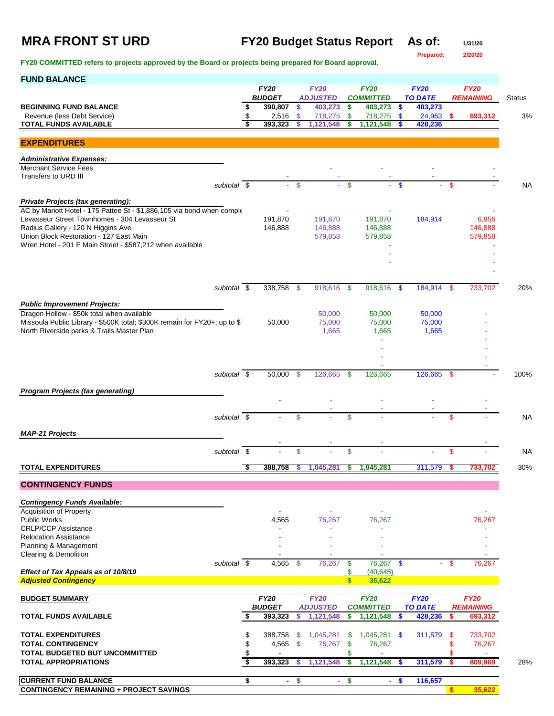# **MRA FRONT ST URD FY20 Budget Status Report As of: 1/31/20**

**Prepared: 2/20/20**

| <b>FUND BALANCE</b>                                                                                                     |    |                              |               |                                |                      |                                 |               |                               |              |                                 |               |
|-------------------------------------------------------------------------------------------------------------------------|----|------------------------------|---------------|--------------------------------|----------------------|---------------------------------|---------------|-------------------------------|--------------|---------------------------------|---------------|
|                                                                                                                         |    | <b>FY20</b><br><b>BUDGET</b> |               | <b>FY20</b><br><b>ADJUSTED</b> |                      | <b>FY20</b><br><b>COMMITTED</b> |               | <b>FY20</b><br><b>TO DATE</b> |              | <b>FY20</b><br><b>REMAINING</b> | <b>Status</b> |
| <b>BEGINNING FUND BALANCE</b>                                                                                           |    | 390,807                      | \$            | 403,273                        | \$                   | 403,273 \$                      |               | 403,273                       |              |                                 |               |
| Revenue (less Debt Service)<br><b>TOTAL FUNDS AVAILABLE</b>                                                             |    | 2,516<br>393.323             | S.<br>\$      | 718,275<br>1,121,548           | \$<br>S              | 718,275<br>1,121,548            | $\mathbf{\$}$ | 24,963<br>428,236             | s.           | 693,312                         | 3%            |
|                                                                                                                         |    |                              |               |                                |                      |                                 |               |                               |              |                                 |               |
| <b>EXPENDITURES</b>                                                                                                     |    |                              |               |                                |                      |                                 |               |                               |              |                                 |               |
| <b>Administrative Expenses:</b>                                                                                         |    |                              |               |                                |                      |                                 |               |                               |              |                                 |               |
| <b>Merchant Service Fees</b>                                                                                            |    |                              |               |                                |                      |                                 |               |                               |              |                                 |               |
| Transfers to URD III<br>subtotal $\overline{\$}$                                                                        |    | $\omega$ .                   | $\mathcal{S}$ |                                | $\mathsf{\$}$        |                                 | $\mathbf{s}$  |                               | \$           |                                 | <b>NA</b>     |
|                                                                                                                         |    |                              |               |                                |                      |                                 |               |                               |              |                                 |               |
| Private Projects (tax generating):                                                                                      |    |                              |               |                                |                      |                                 |               |                               |              |                                 |               |
| AC by Mariott Hotel - 175 Pattee St - \$1,886,105 via bond when comple<br>Levasseur Street Townhomes - 304 Levasseur St |    | 191,870                      |               | 191,870                        |                      | 191,870                         |               | 184,914                       |              | 6,956                           |               |
| Radius Gallery - 120 N Higgins Ave                                                                                      |    | 146,888                      |               | 146,888                        |                      | 146,888                         |               |                               |              | 146,888                         |               |
| Union Block Restoration - 127 East Main                                                                                 |    |                              |               | 579,858                        |                      | 579,858                         |               |                               |              | 579,858                         |               |
| Wren Hotel - 201 E Main Street - \$587,212 when available                                                               |    |                              |               |                                |                      |                                 |               |                               |              |                                 |               |
|                                                                                                                         |    |                              |               |                                |                      |                                 |               |                               |              |                                 |               |
|                                                                                                                         |    |                              |               |                                |                      |                                 |               |                               |              |                                 |               |
|                                                                                                                         |    |                              |               |                                |                      |                                 |               |                               |              |                                 |               |
| subtotal \$                                                                                                             |    | 338.758                      | -\$           | 918,616                        | \$                   | 918,616                         | -\$           | 184,914                       | \$           | 733,702                         | 20%           |
| <b>Public Improvement Projects:</b>                                                                                     |    |                              |               |                                |                      |                                 |               |                               |              |                                 |               |
| Dragon Hollow - \$50k total when available                                                                              |    |                              |               | 50,000                         |                      | 50,000                          |               | 50,000                        |              |                                 |               |
| Missoula Public Library - \$500K total; \$300K remain for FY20+; up to \$1                                              |    | 50,000                       |               | 75,000                         |                      | 75,000                          |               | 75,000                        |              |                                 |               |
| North Riverside parks & Trails Master Plan                                                                              |    |                              |               | 1,665                          |                      | 1,665                           |               | 1,665                         |              |                                 |               |
|                                                                                                                         |    |                              |               |                                |                      |                                 |               |                               |              |                                 |               |
|                                                                                                                         |    |                              |               |                                |                      |                                 |               |                               |              |                                 |               |
|                                                                                                                         |    |                              |               |                                |                      |                                 |               |                               |              |                                 |               |
| subtotal $\overline{\$}$                                                                                                |    | 50,000                       | $\mathcal{S}$ | 126,665                        | \$                   | 126,665                         |               | 126,665                       | \$           |                                 | 100%          |
|                                                                                                                         |    |                              |               |                                |                      |                                 |               |                               |              |                                 |               |
| <b>Program Projects (tax generating)</b>                                                                                |    |                              |               |                                |                      |                                 |               |                               |              |                                 |               |
|                                                                                                                         |    |                              |               |                                |                      |                                 |               |                               |              |                                 |               |
| subtotal $\overline{\$}$                                                                                                |    |                              | \$            |                                | \$                   |                                 |               |                               | \$           |                                 | <b>NA</b>     |
|                                                                                                                         |    |                              |               |                                |                      |                                 |               |                               |              |                                 |               |
| <b>MAP-21 Projects</b>                                                                                                  |    |                              |               |                                |                      |                                 |               |                               |              |                                 |               |
| subtotal \$                                                                                                             |    |                              | $\mathsf{\$}$ |                                | \$                   |                                 |               |                               | \$           |                                 | <b>NA</b>     |
|                                                                                                                         |    |                              |               |                                |                      |                                 |               |                               |              |                                 |               |
| <b>TOTAL EXPENDITURES</b>                                                                                               |    | 388,758                      |               | 1,045,281                      | S                    | 1,045,281                       |               | 311,579                       |              | 733,702                         | 30%           |
| <b>CONTINGENCY FUNDS</b>                                                                                                |    |                              |               |                                |                      |                                 |               |                               |              |                                 |               |
| <b>Contingency Funds Available:</b>                                                                                     |    |                              |               |                                |                      |                                 |               |                               |              |                                 |               |
| <b>Acquisition of Property</b>                                                                                          |    |                              |               |                                |                      |                                 |               |                               |              |                                 |               |
| <b>Public Works</b>                                                                                                     |    | 4,565                        |               | 76,267                         |                      | 76,267                          |               |                               |              | 76,267                          |               |
| <b>CRLP/CCP Assistance</b>                                                                                              |    |                              |               |                                |                      |                                 |               |                               |              |                                 |               |
| <b>Relocation Assistance</b>                                                                                            |    |                              |               |                                |                      |                                 |               |                               |              |                                 |               |
| Planning & Management<br>Clearing & Demolition                                                                          |    |                              |               |                                |                      |                                 |               |                               |              |                                 |               |
| subtotal \$                                                                                                             |    | 4,565 \$                     |               | 76,267                         | \$                   | 76,267 \$                       |               |                               | - \$         | 76,267                          |               |
| Effect of Tax Appeals as of 10/8/19                                                                                     |    |                              |               |                                | \$                   | (40, 645)                       |               |                               |              |                                 |               |
| <b>Adjusted Contingency</b>                                                                                             |    |                              |               |                                | $\sqrt{\frac{2}{5}}$ | 35,622                          |               |                               |              |                                 |               |
| <b>BUDGET SUMMARY</b>                                                                                                   |    | <b>FY20</b>                  |               | <b>FY20</b>                    |                      | <b>FY20</b>                     |               | <b>FY20</b>                   |              | <b>FY20</b>                     |               |
|                                                                                                                         |    | <b>BUDGET</b>                |               | <b>ADJUSTED</b>                |                      | <b>COMMITTED</b>                |               | <b>TO DATE</b>                |              | <b>REMAINING</b>                |               |
| <b>TOTAL FUNDS AVAILABLE</b>                                                                                            | S  | 393,323                      | \$            | 1,121,548                      | \$                   | 1,121,548                       | S             | 428,236                       | \$           | 693,312                         |               |
|                                                                                                                         |    |                              |               |                                |                      |                                 |               |                               |              |                                 |               |
| <b>TOTAL EXPENDITURES</b>                                                                                               | \$ | 388,758                      | -\$           | 1,045,281                      | \$                   | 1,045,281                       | - \$          | 311,579                       | \$           | 733,702                         |               |
| <b>TOTAL CONTINGENCY</b>                                                                                                |    | 4,565 \$                     |               | 76,267                         | \$                   | 76,267                          |               |                               | \$           | 76,267                          |               |
| TOTAL BUDGETED BUT UNCOMMITTED<br><b>TOTAL APPROPRIATIONS</b>                                                           | \$ | 393,323                      | \$            | 1,121,548                      | \$<br>\$             | 1,121,548                       | <b>S</b>      | 311,579                       | \$<br>\$     | 809,969                         | 28%           |
|                                                                                                                         |    |                              |               |                                |                      |                                 |               |                               |              |                                 |               |
| <b>CURRENT FUND BALANCE</b>                                                                                             | \$ | $\sim$                       | \$            | $\sim$                         | \$                   | ÷.                              | - \$          | 116,657                       |              |                                 |               |
| <b>CONTINGENCY REMAINING + PROJECT SAVINGS</b>                                                                          |    |                              |               |                                |                      |                                 |               |                               | $\mathbf{s}$ | 35,622                          |               |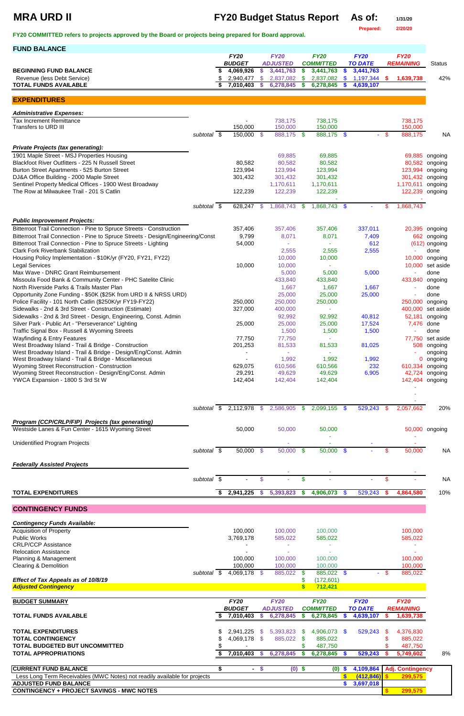# **MRA URD II FY20 Budget Status Report As of: 1/31/20**

**Prepared: 2/20/20**

**FY20 COMMITTED refers to projects approved by the Board or projects being prepared for Board approval.** 

| <b>FUND BALANCE</b>                                                                                          |                     |                          |          |                        |          |                        |                |                        |               |                    |                      |
|--------------------------------------------------------------------------------------------------------------|---------------------|--------------------------|----------|------------------------|----------|------------------------|----------------|------------------------|---------------|--------------------|----------------------|
|                                                                                                              |                     | <b>FY20</b>              |          | <b>FY20</b>            |          | <b>FY20</b>            |                | <b>FY20</b>            |               | <b>FY20</b>        |                      |
|                                                                                                              |                     | <b>BUDGET</b>            |          | <b>ADJUSTED</b>        |          | <b>COMMITTED</b>       |                | <b>TO DATE</b>         |               | <b>REMAINING</b>   | <b>Status</b>        |
| <b>BEGINNING FUND BALANCE</b>                                                                                |                     | 4,069,926                | \$.      | 3,441,763              | \$       | 3,441,763              | \$             | 3,441,763              |               |                    |                      |
| Revenue (less Debt Service)<br><b>TOTAL FUNDS AVAILABLE</b>                                                  |                     | 2,940,477<br>7,010,403   | S        | 2,837,082<br>6,278,845 | \$<br>\$ | 2,837,082<br>6,278,845 | \$<br><b>S</b> | 1,197,344<br>4,639,107 | $\frac{1}{2}$ | 1,639,738          | 42%                  |
|                                                                                                              |                     |                          |          |                        |          |                        |                |                        |               |                    |                      |
| <b>EXPENDITURES</b>                                                                                          |                     |                          |          |                        |          |                        |                |                        |               |                    |                      |
|                                                                                                              |                     |                          |          |                        |          |                        |                |                        |               |                    |                      |
| <b>Administrative Expenses:</b>                                                                              |                     |                          |          |                        |          |                        |                |                        |               |                    |                      |
| <b>Tax Increment Remittance</b><br>Transfers to URD III                                                      |                     | 150,000                  |          | 738,175<br>150,000     |          | 738,175<br>150,000     |                |                        |               | 738,175<br>150,000 |                      |
|                                                                                                              | subtotal \$         | 150,000                  | - \$     | 888,175 \$             |          | 888,175 \$             |                | - 1                    | - \$          | 888,175            | <b>NA</b>            |
|                                                                                                              |                     |                          |          |                        |          |                        |                |                        |               |                    |                      |
| <b>Private Projects (tax generating):</b>                                                                    |                     |                          |          |                        |          |                        |                |                        |               |                    |                      |
| 1901 Maple Street - MSJ Properties Housing                                                                   |                     |                          |          | 69,885                 |          | 69,885                 |                |                        |               | 69,885             | ongoing              |
| Blackfoot River Outfitters - 225 N Russell Street                                                            |                     | 80,582                   |          | 80,582                 |          | 80,582                 |                |                        |               | 80,582             | ongoing              |
| Burton Street Apartments - 525 Burton Street<br>DJ&A Office Building - 2000 Maple Street                     |                     | 123,994<br>301,432       |          | 123,994<br>301,432     |          | 123,994<br>301,432     |                |                        |               | 123,994<br>301,432 | ongoing<br>ongoing   |
| Sentinel Property Medical Offices - 1900 West Broadway                                                       |                     |                          |          | 1,170,611              |          | 1,170,611              |                |                        |               | 1,170,611          | ongoing              |
| The Row at Milwaukee Trail - 201 S Catlin                                                                    |                     | 122,239                  |          | 122,239                |          | 122,239                |                |                        |               | 122,239            | ongoing              |
|                                                                                                              |                     |                          |          |                        |          |                        |                |                        |               |                    |                      |
|                                                                                                              | subtotal $\sqrt{s}$ | 628,247                  | <b>S</b> | 1,868,743              | \$       | 1,868,743 \$           |                |                        | \$            | 1,868,743          |                      |
|                                                                                                              |                     |                          |          |                        |          |                        |                |                        |               |                    |                      |
| <b>Public Improvement Projects:</b>                                                                          |                     |                          |          |                        |          |                        |                |                        |               |                    |                      |
| Bitterroot Trail Connection - Pine to Spruce Streets - Construction                                          |                     | 357,406                  |          | 357,406                |          | 357,406                |                | 337,011                |               | 20,395             | ongoing              |
| Bitterroot Trail Connection - Pine to Spruce Streets - Design/Engineering/Const                              |                     | 9,799                    |          | 8,071                  |          | 8,071                  |                | 7,409                  |               | 662                | ongoing              |
| Bitterroot Trail Connection - Pine to Spruce Streets - Lighting<br><b>Clark Fork Riverbank Stabilization</b> |                     | 54,000                   |          |                        |          |                        |                | 612                    |               | (612)              | ongoing<br>done      |
| Housing Policy Implementation - \$10K/yr (FY20, FY21, FY22)                                                  |                     |                          |          | 2,555<br>10,000        |          | 2,555<br>10,000        |                | 2,555                  |               | 10,000             | ongoing              |
| <b>Legal Services</b>                                                                                        |                     | 10,000                   |          | 10,000                 |          |                        |                |                        |               | 10,000             | set aside            |
| Max Wave - DNRC Grant Reimbursement                                                                          |                     |                          |          | 5,000                  |          | 5,000                  |                | 5,000                  |               |                    | done                 |
| Missoula Food Bank & Community Center - PHC Satelite Clinic                                                  |                     |                          |          | 433,840                |          | 433,840                |                |                        |               | 433,840            | ongoing              |
| North Riverside Parks & Trails Master Plan                                                                   |                     |                          |          | 1,667                  |          | 1,667                  |                | 1,667                  |               |                    | done                 |
| Opportunity Zone Funding - \$50K (\$25K from URD II & NRSS URD)                                              |                     |                          |          | 25,000                 |          | 25,000                 |                | 25,000                 |               |                    | done                 |
| Police Facility - 101 North Catlin (\$250K/yr FY19-FY22)                                                     |                     | 250,000                  |          | 250,000                |          | 250,000                |                |                        |               | 250,000            | ongoing              |
| Sidewalks - 2nd & 3rd Street - Construction (Estimate)                                                       |                     | 327,000                  |          | 400,000                |          | $\sim$                 |                |                        |               |                    | 400,000 set aside    |
| Sidewalks - 2nd & 3rd Street - Design, Engineering, Const. Admin                                             |                     |                          |          | 92,992                 |          | 92,992                 |                | 40,812                 |               | 52,181             | ongoing              |
| Silver Park - Public Art - "Perseverance" Lighting                                                           |                     | 25,000                   |          | 25,000                 |          | 25,000                 |                | 17,524                 |               | 7,476              | done                 |
| Traffic Signal Box - Russell & Wyoming Streets                                                               |                     |                          |          | 1,500                  |          | 1,500                  |                | 1,500                  |               |                    | done                 |
| <b>Wayfinding &amp; Entry Features</b><br>West Broadway Island - Trail & Bridge - Construction               |                     | 77,750<br>201,253        |          | 77,750<br>81,533       |          | 81,533                 |                | 81,025                 |               | 77,750<br>508      | set aside<br>ongoing |
| West Broadway Island - Trail & Bridge - Design/Eng/Const. Admin                                              |                     |                          |          |                        |          |                        |                |                        |               |                    | ongoing              |
| West Broadway Island - Trail & Bridge - Miscellaneous                                                        |                     |                          |          | 1,992                  |          | 1,992                  |                | 1,992                  |               | 0                  | ongoing              |
| Wyoming Street Reconstruction - Construction                                                                 |                     | 629,075                  |          | 610,566                |          | 610,566                |                | 232                    |               | 610,334            | ongoing              |
| Wyoming Street Reconstruction - Design/Eng/Const. Admin                                                      |                     | 29,291                   |          | 49,629                 |          | 49,629                 |                | 6,905                  |               | 42,724             | ongoing              |
| YWCA Expansion - 1800 S 3rd St W                                                                             |                     | 142,404                  |          | 142,404                |          | 142,404                |                |                        |               | 142,404            | ongoing              |
|                                                                                                              |                     |                          |          |                        |          |                        |                |                        |               |                    |                      |
|                                                                                                              |                     |                          |          |                        |          |                        |                |                        |               |                    |                      |
|                                                                                                              |                     | subtotal \$ 2,112,978 \$ |          | 2,586,905              | S.       | 2,099,155 \$           |                | 529,243                | - \$          | 2,057,662          | 20%                  |
|                                                                                                              |                     |                          |          |                        |          |                        |                |                        |               |                    |                      |
| Program (CCP/CRLP/FIP) Projects (tax generating)<br>Westside Lanes & Fun Center - 1615 Wyoming Street        |                     | 50,000                   |          | 50,000                 |          | 50,000                 |                |                        |               |                    | 50,000 ongoing       |
|                                                                                                              |                     |                          |          |                        |          |                        |                |                        |               |                    |                      |
| <b>Unidentified Program Projects</b>                                                                         |                     |                          |          |                        |          |                        |                |                        |               |                    |                      |
|                                                                                                              | subtotal \$         | 50,000 \$                |          | $50,000$ \$            |          | $50,000$ \$            |                |                        | \$            | 50,000             | <b>NA</b>            |
|                                                                                                              |                     |                          |          |                        |          |                        |                |                        |               |                    |                      |
| <b>Federally Assisted Projects</b>                                                                           |                     |                          |          |                        |          |                        |                |                        |               |                    |                      |
|                                                                                                              | subtotal \$         |                          | \$       |                        | \$       |                        |                |                        | \$            |                    | <b>NA</b>            |
|                                                                                                              |                     |                          |          |                        |          |                        |                |                        |               |                    |                      |
| <b>TOTAL EXPENDITURES</b>                                                                                    |                     | 2,941,225                | <b>S</b> | 5,393,823              | \$       | 4,906,073              | $\frac{1}{2}$  | 529,243                | -S            | 4,864,580          | 10%                  |
|                                                                                                              |                     |                          |          |                        |          |                        |                |                        |               |                    |                      |

## **CONTINGENCY FUNDS**

*Contingency Funds Available:*

| <b>Acquisition of Property</b>                                            |             | 100,000       |               | 100,000         |               | 100,000          |                           |                |      | 100,000                 |    |
|---------------------------------------------------------------------------|-------------|---------------|---------------|-----------------|---------------|------------------|---------------------------|----------------|------|-------------------------|----|
| <b>Public Works</b>                                                       |             | 3,769,178     |               | 585,022         |               | 585,022          |                           |                |      | 585,022                 |    |
| <b>CRLP/CCP Assistance</b>                                                |             |               |               |                 |               |                  |                           |                |      |                         |    |
| <b>Relocation Assistance</b>                                              |             |               |               |                 |               |                  |                           |                |      |                         |    |
| Planning & Management                                                     |             | 100,000       |               | 100,000         |               | 100,000          |                           |                |      | 100,000                 |    |
| <b>Clearing &amp; Demolition</b>                                          |             | 100,000       |               | 100,000         |               | 100,000          |                           |                |      | 100,000                 |    |
|                                                                           | subtotal \$ | 4,069,178 \$  |               | 885,022         | <sub>\$</sub> | 885,022          | <b>S</b>                  |                | - \$ | 885,022                 |    |
| Effect of Tax Appeals as of 10/8/19                                       |             |               |               |                 |               | (172, 601)       |                           |                |      |                         |    |
| <b>Adjusted Contingency</b>                                               |             |               |               |                 |               | 712,421          |                           |                |      |                         |    |
|                                                                           |             |               |               |                 |               |                  |                           |                |      |                         |    |
| <b>BUDGET SUMMARY</b>                                                     |             | <b>FY20</b>   |               | <b>FY20</b>     |               | <b>FY20</b>      |                           | <b>FY20</b>    |      | <b>FY20</b>             |    |
|                                                                           |             | <b>BUDGET</b> |               | <b>ADJUSTED</b> |               | <b>COMMITTED</b> |                           | <b>TO DATE</b> |      | <b>REMAINING</b>        |    |
| <b>TOTAL FUNDS AVAILABLE</b>                                              |             | 7,010,403     |               | 6,278,845       | S.            | 6,278,845        | SS.                       | 4,639,107      |      | 1,639,738               |    |
|                                                                           |             |               |               |                 |               |                  |                           |                |      |                         |    |
| <b>TOTAL EXPENDITURES</b>                                                 |             | 2,941,225     | -S            | 5,393,823       | - \$          | 4,906,073 \$     |                           | 529,243        | -S   | 4,376,830               |    |
| <b>TOTAL CONTINGENCY</b>                                                  |             | 4,069,178 \$  |               | 885,022         | -SS           | 885,022          |                           |                |      | 885,022                 |    |
| <b>TOTAL BUDGETED BUT UNCOMMITTED</b>                                     |             |               |               |                 |               | 487,750          |                           |                |      | 487,750                 |    |
| <b>TOTAL APPROPRIATIONS</b>                                               |             | 7,010,403     | $\mathcal{P}$ | 6,278,845       |               | 6,278,845        | S.                        | 529,243        |      | 5,749,602               | 8% |
| <b>CURRENT FUND BALANCE</b>                                               |             |               | <b>S</b>      |                 |               |                  |                           |                |      |                         |    |
|                                                                           |             | $\sim$        |               |                 | $(0)$ \$      | (0)              | $\boldsymbol{\mathsf{s}}$ | 4,109,864      |      | <b>Adj. Contingency</b> |    |
| Less Long Term Receivables (MWC Notes) not readily available for projects |             |               |               |                 |               |                  |                           | (412, 846)     |      | 299,575                 |    |
| <b>ADJUSTED FUND BALANCE</b>                                              |             |               |               |                 |               |                  |                           | 3,697,018      |      |                         |    |
| <b>CONTINGENCY + PROJECT SAVINGS - MWC NOTES</b>                          |             |               |               |                 |               |                  |                           |                |      | 299,575                 |    |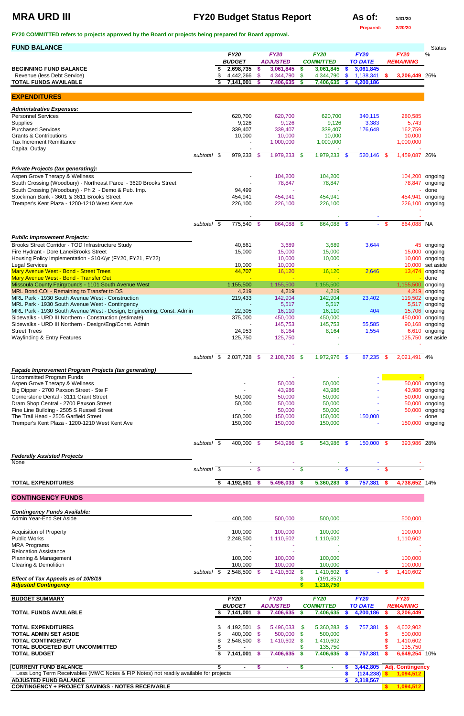# **MRA URD III FY20 Budget Status Report As of:**  $\frac{1}{31/20}$

**Prepared: 2/20/20**

| <b>FUND BALANCE</b>                                                                                                             |                          |    |                        |                     |                        |                         |                        |                        |                        |                |                  | <b>Status</b>                     |
|---------------------------------------------------------------------------------------------------------------------------------|--------------------------|----|------------------------|---------------------|------------------------|-------------------------|------------------------|------------------------|------------------------|----------------|------------------|-----------------------------------|
|                                                                                                                                 |                          |    | <b>FY20</b>            |                     | <b>FY20</b>            |                         | <b>FY20</b>            |                        | <b>FY20</b>            |                | <b>FY20</b>      | %                                 |
|                                                                                                                                 |                          |    | <b>BUDGET</b>          |                     | <b>ADJUSTED</b>        |                         | <b>COMMITTED</b>       |                        | <b>TO DATE</b>         |                | <b>REMAINING</b> |                                   |
| <b>BEGINNING FUND BALANCE</b><br>Revenue (less Debt Service)                                                                    |                          |    | 2,698,735<br>4,442,266 | $\sqrt[6]{3}$<br>\$ | 3,061,845<br>4,344,790 | \$<br>$\boldsymbol{\$}$ | 3,061,845<br>4,344,790 | $\boldsymbol{s}$<br>\$ | 3,061,845              |                |                  |                                   |
| <b>TOTAL FUNDS AVAILABLE</b>                                                                                                    |                          | \$ | 7,141,001              | S.                  | 7,406,635              | S.                      | 7,406,635              | S                      | 1,138,341<br>4,200,186 | \$.            | 3,206,449 26%    |                                   |
|                                                                                                                                 |                          |    |                        |                     |                        |                         |                        |                        |                        |                |                  |                                   |
| <b>EXPENDITURES</b>                                                                                                             |                          |    |                        |                     |                        |                         |                        |                        |                        |                |                  |                                   |
| <b>Administrative Expenses:</b>                                                                                                 |                          |    |                        |                     |                        |                         |                        |                        |                        |                |                  |                                   |
| <b>Personnel Services</b>                                                                                                       |                          |    | 620,700                |                     | 620,700                |                         | 620,700                |                        | 340,115                |                | 280,585          |                                   |
| Supplies                                                                                                                        |                          |    | 9,126                  |                     | 9,126                  |                         | 9,126                  |                        | 3,383                  |                | 5,743            |                                   |
| <b>Purchased Services</b>                                                                                                       |                          |    | 339,407                |                     | 339,407                |                         | 339,407                |                        | 176,648                |                | 162,759          |                                   |
| <b>Grants &amp; Contributions</b>                                                                                               |                          |    | 10,000                 |                     | 10,000                 |                         | 10,000                 |                        |                        |                | 10,000           |                                   |
| <b>Tax Increment Remittance</b><br><b>Capital Outlay</b>                                                                        |                          |    |                        |                     | 1,000,000              |                         | 1,000,000              |                        |                        |                | 1,000,000        |                                   |
|                                                                                                                                 | subtotal $\overline{\$}$ |    | 979,233 \$             |                     | 1,979,233 \$           |                         | 1,979,233 \$           |                        | 520,146                | -\$            | 1,459,087 26%    |                                   |
|                                                                                                                                 |                          |    |                        |                     |                        |                         |                        |                        |                        |                |                  |                                   |
| <b>Private Projects (tax generating):</b>                                                                                       |                          |    |                        |                     |                        |                         |                        |                        |                        |                |                  |                                   |
| Aspen Grove Therapy & Wellness                                                                                                  |                          |    |                        |                     | 104,200                |                         | 104,200                |                        |                        |                | 104,200 ongoing  |                                   |
| South Crossing (Woodbury) - Northeast Parcel - 3620 Brooks Street                                                               |                          |    |                        |                     | 78,847                 |                         | 78,847                 |                        |                        |                |                  | 78,847 ongoing                    |
| South Crossing (Woodbury) - Ph 2 - Demo & Pub. Imp.                                                                             |                          |    | 94,499                 |                     |                        |                         |                        |                        |                        |                |                  | done                              |
| Stockman Bank - 3601 & 3611 Brooks Street                                                                                       |                          |    | 454,941                |                     | 454,941                |                         | 454,941                |                        |                        |                | 454,941          | ongoing                           |
| Tremper's Kent Plaza - 1200-1210 West Kent Ave                                                                                  |                          |    | 226,100                |                     | 226,100                |                         | 226,100                |                        |                        |                | 226,100 ongoing  |                                   |
|                                                                                                                                 |                          |    |                        |                     |                        |                         |                        |                        |                        |                |                  |                                   |
|                                                                                                                                 | subtotal \$              |    | 775,540 \$             |                     | 864,088 \$             |                         | 864,088 \$             |                        |                        | $\mathfrak{s}$ | 864,088 NA       |                                   |
|                                                                                                                                 |                          |    |                        |                     |                        |                         |                        |                        |                        |                |                  |                                   |
| <b>Public Improvement Projects:</b>                                                                                             |                          |    |                        |                     |                        |                         |                        |                        |                        |                |                  |                                   |
| Brooks Street Corridor - TOD Infrastructure Study                                                                               |                          |    | 40,861                 |                     | 3,689                  |                         | 3,689                  |                        | 3,644                  |                |                  | 45 ongoing                        |
| Fire Hydrant - Dore Lane/Brooks Street                                                                                          |                          |    | 15,000                 |                     | 15,000                 |                         | 15,000                 |                        |                        |                | 15,000           | ongoing                           |
| Housing Policy Implementation - \$10K/yr (FY20, FY21, FY22)<br><b>Legal Services</b>                                            |                          |    | 10,000                 |                     | 10,000<br>10,000       |                         | 10,000                 |                        |                        |                | 10,000<br>10,000 | ongoing<br>set aside              |
| Mary Avenue West - Bond - Street Trees                                                                                          |                          |    | 44,707                 |                     | 16,120                 |                         | 16,120                 |                        | 2,646                  |                | 13,474           | ongoing                           |
| Mary Avenue West - Bond - Transfer Out                                                                                          |                          |    |                        |                     | $\sim$                 |                         |                        |                        |                        |                |                  | done                              |
| Missoula County Fairgrounds - 1101 South Avenue West                                                                            |                          |    | 1,155,500              |                     | 1,155,500              |                         | 1,155,500              |                        |                        |                | 1,155,500        | ongoing                           |
| MRL Bond COI - Remaining to Transfer to DS                                                                                      |                          |    | 4,219                  |                     | 4,219                  |                         | 4,219                  |                        |                        |                | 4,219            | ongoing                           |
| MRL Park - 1930 South Avenue West - Construction                                                                                |                          |    | 219,433                |                     | 142,904                |                         | 142,904                |                        | 23,402                 |                | 119,502          | ongoing                           |
| MRL Park - 1930 South Avenue West - Contingency                                                                                 |                          |    |                        |                     | 5,517                  |                         | 5,517                  |                        |                        |                |                  | 5,517 ongoing                     |
| MRL Park - 1930 South Avenue West - Design, Engineering, Const. Admin<br>Sidewalks - URD III Northern - Construction (estimate) |                          |    | 22,305<br>375,000      |                     | 16,110<br>450,000      |                         | 16,110<br>450,000      |                        | 404                    |                |                  | 15,706 ongoing<br>450,000 ongoing |
| Sidewalks - URD III Northern - Design/Eng/Const. Admin                                                                          |                          |    |                        |                     | 145,753                |                         | 145,753                |                        | 55,585                 |                |                  | 90,168 ongoing                    |
| <b>Street Trees</b>                                                                                                             |                          |    | 24,953                 |                     | 8,164                  |                         | 8,164                  |                        | 1,554                  |                |                  | 6,610 ongoing                     |
| <b>Wayfinding &amp; Entry Features</b>                                                                                          |                          |    | 125,750                |                     | 125,750                |                         |                        |                        |                        |                |                  | 125,750 set aside                 |
|                                                                                                                                 |                          |    |                        |                     |                        |                         |                        |                        |                        |                |                  |                                   |
|                                                                                                                                 | subtotal \$              |    | 2,037,728 \$           |                     | 2,108,726 \$           |                         | 1,972,976 \$           |                        | 87,235                 | \$             | 2,021,491 4%     |                                   |
|                                                                                                                                 |                          |    |                        |                     |                        |                         |                        |                        |                        |                |                  |                                   |
| Façade Improvement Program Projects (tax generating)                                                                            |                          |    |                        |                     |                        |                         |                        |                        |                        |                |                  |                                   |
| <b>Uncommitted Program Funds</b>                                                                                                |                          |    |                        |                     |                        |                         |                        |                        |                        |                |                  |                                   |
| Aspen Grove Therapy & Wellness                                                                                                  |                          |    |                        |                     | 50,000                 |                         | 50,000                 |                        |                        |                |                  | 50,000 ongoing                    |
| Big Dipper - 2700 Paxson Street - Ste F<br>Cornerstone Dental - 3111 Grant Street                                               |                          |    | 50,000                 |                     | 43,986<br>50,000       |                         | 43,986<br>50,000       |                        |                        |                |                  | 43,986 ongoing<br>50,000 ongoing  |
| Dram Shop Central - 2700 Paxson Street                                                                                          |                          |    | 50,000                 |                     | 50,000                 |                         | 50,000                 |                        |                        |                |                  | 50,000 ongoing                    |
| Fine Line Building - 2505 S Russell Street                                                                                      |                          |    |                        |                     | 50,000                 |                         | 50,000                 |                        |                        |                |                  | 50,000 ongoing                    |
| The Trail Head - 2505 Garfield Street                                                                                           |                          |    | 150,000                |                     | 150,000                |                         | 150,000                |                        | 150,000                |                |                  | done                              |
| Tremper's Kent Plaza - 1200-1210 West Kent Ave                                                                                  |                          |    | 150,000                |                     | 150,000                |                         | 150,000                |                        |                        |                | 150,000 ongoing  |                                   |
|                                                                                                                                 |                          |    |                        |                     |                        |                         |                        |                        |                        |                |                  |                                   |
|                                                                                                                                 | subtotal \$              |    | 400,000 \$             |                     | 543,986 \$             |                         | 543,986 \$             |                        | 150,000 \$             |                | 393,986 28%      |                                   |
|                                                                                                                                 |                          |    |                        |                     |                        |                         |                        |                        |                        |                |                  |                                   |
| <b>Federally Assisted Projects</b>                                                                                              |                          |    |                        |                     |                        |                         |                        |                        |                        |                |                  |                                   |
| None                                                                                                                            | subtotal $\sqrt{s}$      |    | $\blacksquare$         | $\sqrt[6]{3}$       |                        | $\sqrt[6]{3}$           |                        | \$                     |                        | \$             |                  |                                   |
|                                                                                                                                 |                          |    |                        |                     |                        |                         |                        |                        |                        |                |                  |                                   |
| <b>TOTAL EXPENDITURES</b>                                                                                                       |                          | S. | 4,192,501              | $\mathbf{\$}$       | 5,496,033              | \$                      | 5,360,283              | <b>S</b>               | 757,381                | <b>S</b>       | 4,738,652 14%    |                                   |
| <b>CONTINGENCY FUNDS</b>                                                                                                        |                          |    |                        |                     |                        |                         |                        |                        |                        |                |                  |                                   |
|                                                                                                                                 |                          |    |                        |                     |                        |                         |                        |                        |                        |                |                  |                                   |
| <b>Contingency Funds Available:</b>                                                                                             |                          |    |                        |                     |                        |                         |                        |                        |                        |                |                  |                                   |
| Admin Year-End Set Aside                                                                                                        |                          |    | 400,000                |                     | 500,000                |                         | 500,000                |                        |                        |                | 500,000          |                                   |

| <b>Acquisition of Property</b>                                                        |          | 100,000                |                       | 100,000         |     | 100,000              |      |                |      | 100,000                 |  |
|---------------------------------------------------------------------------------------|----------|------------------------|-----------------------|-----------------|-----|----------------------|------|----------------|------|-------------------------|--|
| <b>Public Works</b>                                                                   |          | 2,248,500              |                       | 1,110,602       |     | 1,110,602            |      |                |      | 1,110,602               |  |
| <b>MRA Programs</b>                                                                   |          |                        |                       |                 |     |                      |      |                |      |                         |  |
| <b>Relocation Assistance</b>                                                          |          |                        |                       |                 |     |                      |      |                |      |                         |  |
| Planning & Management                                                                 |          | 100,000                |                       | 100,000         |     | 100,000              |      |                |      | 100,000                 |  |
| Clearing & Demolition                                                                 |          | 100,000                |                       | 100,000         |     | 100,000              |      |                |      | 100,000                 |  |
|                                                                                       | subtotal | $2,548,500$ \$<br>- SS |                       | 1,410,602       | \$. | 1,410,602            | \$.  |                | - \$ | 1,410,602               |  |
| Effect of Tax Appeals as of 10/8/19                                                   |          |                        |                       |                 |     | (191, 852)           |      |                |      |                         |  |
| <b>Adjusted Contingency</b>                                                           |          |                        |                       |                 |     | 1,218,750            |      |                |      |                         |  |
|                                                                                       |          |                        |                       |                 |     |                      |      |                |      |                         |  |
| <b>BUDGET SUMMARY</b>                                                                 |          | <b>FY20</b>            |                       | <b>FY20</b>     |     | <b>FY20</b>          |      | <b>FY20</b>    |      | <b>FY20</b>             |  |
|                                                                                       |          | <b>BUDGET</b>          |                       | <b>ADJUSTED</b> |     | <b>COMMITTED</b>     |      | <b>TO DATE</b> |      | <b>REMAINING</b>        |  |
| <b>TOTAL FUNDS AVAILABLE</b>                                                          |          | 7,141,001              | S                     | 7,406,635       | S   | 7,406,635            | S.   | 4,200,186      |      | 3,206,449               |  |
|                                                                                       |          |                        |                       |                 |     |                      |      |                |      |                         |  |
| <b>TOTAL EXPENDITURES</b>                                                             |          | 4,192,501              | - SS                  | 5,496,033       | S.  | 5,360,283            | - \$ | 757,381        | S    | 4,602,902               |  |
| TOTAL ADMIN SET ASIDE                                                                 |          | 400,000                |                       | 500,000         | S.  | 500,000              |      |                |      | 500,000                 |  |
| <b>TOTAL CONTINGENCY</b>                                                              |          |                        | $\mathcal{S}$<br>- \$ |                 |     |                      |      |                |      |                         |  |
| TOTAL BUDGETED BUT UNCOMMITTED                                                        |          | 2,548,500              |                       | 1,410,602       |     | 1,410,602<br>135,750 |      |                |      | 1,410,602<br>135,750    |  |
| <b>TOTAL BUDGET</b>                                                                   |          | 7,141,001              |                       | 7,406,635       |     | 7,406,635            |      | 757,381        |      | 6,649,254 10%           |  |
| <b>CURRENT FUND BALANCE</b>                                                           |          | $\blacksquare$         | S                     | ٠               |     |                      |      | 3,442,805      |      | <b>Adj. Contingency</b> |  |
| Less Long Term Receivables (MWC Notes & FIP Notes) not readily available for projects |          |                        |                       |                 |     |                      |      | (124, 238)     |      | 1,094,512               |  |
| <b>ADJUSTED FUND BALANCE</b>                                                          |          |                        |                       |                 |     |                      |      | 3,318,567      |      |                         |  |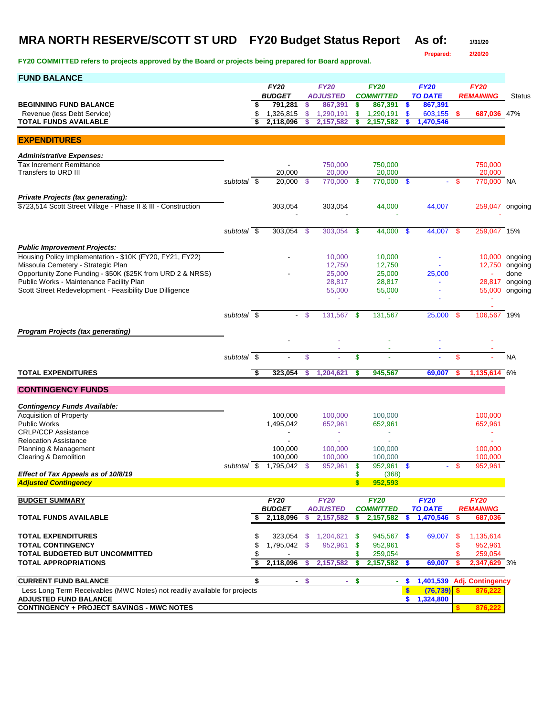# **MRA NORTH RESERVE/SCOTT ST URD FY20 Budget Status Report As of: 1/31/20**

**Prepared: 2/20/20**

| <b>FUND BALANCE</b>                                                       |             |     |                          |                      |                                 |                    |                             |     |                           |            |                            |               |
|---------------------------------------------------------------------------|-------------|-----|--------------------------|----------------------|---------------------------------|--------------------|-----------------------------|-----|---------------------------|------------|----------------------------|---------------|
|                                                                           |             |     | <b>FY20</b>              |                      | <b>FY20</b>                     |                    | <b>FY20</b>                 |     | <b>FY20</b>               |            | <b>FY20</b>                |               |
| <b>BEGINNING FUND BALANCE</b>                                             |             | S   | <b>BUDGET</b><br>791,281 | \$                   | <b>ADJUSTED</b><br>867,391      | \$                 | <b>COMMITTED</b><br>867,391 | -\$ | <b>TO DATE</b><br>867,391 |            | <b>REMAINING</b>           | <b>Status</b> |
| Revenue (less Debt Service)                                               |             | \$  | 1,326,815                | \$                   | 1,290,191                       | \$                 | 1,290,191                   | \$  | $603,155$ \$              |            | 687,036 47%                |               |
| <b>TOTAL FUNDS AVAILABLE</b>                                              |             | \$  | 2.118.096                | \$                   | 2,157,582                       | \$                 | 2,157,582                   | S   | 1,470,546                 |            |                            |               |
|                                                                           |             |     |                          |                      |                                 |                    |                             |     |                           |            |                            |               |
| <b>EXPENDITURES</b>                                                       |             |     |                          |                      |                                 |                    |                             |     |                           |            |                            |               |
| <b>Administrative Expenses:</b>                                           |             |     |                          |                      |                                 |                    |                             |     |                           |            |                            |               |
| <b>Tax Increment Remittance</b>                                           |             |     |                          |                      | 750,000                         |                    | 750,000                     |     |                           |            | 750.000                    |               |
| Transfers to URD III                                                      |             |     | 20,000                   |                      | 20,000                          |                    | 20,000                      |     |                           |            | 20,000                     |               |
|                                                                           | subtotal \$ |     | 20.000                   | - \$                 | 770,000                         | -\$                | 770,000 \$                  |     | ÷.                        | - \$       | 770,000 NA                 |               |
| <b>Private Projects (tax generating):</b>                                 |             |     |                          |                      |                                 |                    |                             |     |                           |            |                            |               |
| \$723,514 Scott Street Village - Phase II & III - Construction            |             |     | 303,054                  |                      | 303,054                         |                    | 44,000                      |     | 44,007                    |            | 259,047 ongoing            |               |
|                                                                           |             |     |                          |                      |                                 |                    |                             |     |                           |            |                            |               |
|                                                                           |             |     |                          |                      |                                 |                    |                             |     |                           |            |                            |               |
|                                                                           | subtotal \$ |     | 303,054                  | -\$                  | 303,054                         | -\$                | $44,000$ \$                 |     | 44,007 \$                 |            | 259,047 15%                |               |
| <b>Public Improvement Projects:</b>                                       |             |     |                          |                      |                                 |                    |                             |     |                           |            |                            |               |
| Housing Policy Implementation - \$10K (FY20, FY21, FY22)                  |             |     |                          |                      | 10,000                          |                    | 10,000                      |     |                           |            | 10,000                     | ongoing       |
| Missoula Cemetery - Strategic Plan                                        |             |     |                          |                      | 12,750                          |                    | 12,750                      |     |                           |            | 12,750                     | ongoing       |
| Opportunity Zone Funding - \$50K (\$25K from URD 2 & NRSS)                |             |     |                          |                      | 25,000                          |                    | 25,000                      |     | 25,000                    |            |                            | done          |
| Public Works - Maintenance Facility Plan                                  |             |     |                          |                      | 28,817                          |                    | 28,817                      |     | ä,                        |            | 28,817                     | ongoing       |
| Scott Street Redevelopment - Feasibility Due Dilligence                   |             |     |                          |                      | 55,000                          |                    | 55,000                      |     |                           |            | 55,000                     | ongoing       |
|                                                                           |             |     |                          |                      | ä,                              |                    | ٠                           |     |                           |            |                            |               |
|                                                                           | subtotal \$ |     |                          | - \$                 | 131,567                         | -\$                | 131,567                     |     | $25,000$ \$               |            | 106,567 19%                |               |
|                                                                           |             |     |                          |                      |                                 |                    |                             |     |                           |            |                            |               |
| <b>Program Projects (tax generating)</b>                                  |             |     |                          |                      |                                 |                    |                             |     |                           |            |                            |               |
|                                                                           |             |     |                          |                      |                                 |                    |                             |     |                           |            |                            |               |
|                                                                           | subtotal \$ |     |                          | \$                   |                                 | \$                 |                             |     |                           | \$         |                            | <b>NA</b>     |
|                                                                           |             |     |                          |                      |                                 |                    |                             |     |                           |            |                            |               |
| <b>TOTAL EXPENDITURES</b>                                                 |             | -\$ | 323,054                  | \$                   | 1,204,621                       | \$                 | 945,567                     |     | 69,007                    |            | 1,135,614 6%               |               |
| <b>CONTINGENCY FUNDS</b>                                                  |             |     |                          |                      |                                 |                    |                             |     |                           |            |                            |               |
|                                                                           |             |     |                          |                      |                                 |                    |                             |     |                           |            |                            |               |
| <b>Contingency Funds Available:</b>                                       |             |     |                          |                      |                                 |                    |                             |     |                           |            |                            |               |
| Acquisition of Property<br><b>Public Works</b>                            |             |     | 100,000<br>1,495,042     |                      | 100,000<br>652,961              |                    | 100,000<br>652,961          |     |                           |            | 100,000<br>652,961         |               |
| <b>CRLP/CCP Assistance</b>                                                |             |     |                          |                      | ÷                               |                    | $\overline{\phantom{a}}$    |     |                           |            | ٠                          |               |
| <b>Relocation Assistance</b>                                              |             |     |                          |                      |                                 |                    |                             |     |                           |            |                            |               |
| Planning & Management                                                     |             |     | 100.000                  |                      | 100,000                         |                    | 100,000                     |     |                           |            | 100,000                    |               |
| <b>Clearing &amp; Demolition</b>                                          |             |     | 100,000                  |                      | 100,000                         |                    | 100,000                     |     |                           |            | 100,000                    |               |
|                                                                           | subtotal \$ |     | 1,795,042                | - \$                 | 952,961                         | \$                 | 952,961 \$                  |     |                           | -S         | 952,961                    |               |
| Effect of Tax Appeals as of 10/8/19<br><b>Adjusted Contingency</b>        |             |     |                          |                      |                                 | \$<br>$\mathbf{s}$ | (368)<br>952,593            |     |                           |            |                            |               |
|                                                                           |             |     |                          |                      |                                 |                    |                             |     |                           |            |                            |               |
| <b>BUDGET SUMMARY</b>                                                     |             |     | <b>FY20</b>              |                      | <b>FY20</b>                     |                    | <b>FY20</b>                 |     | <b>FY20</b>               |            | <b>FY20</b>                |               |
|                                                                           |             |     | <b>BUDGET</b>            |                      | <b>ADJUSTED</b>                 |                    | <b>COMMITTED</b>            |     | <b>TO DATE</b>            |            | <b>REMAINING</b>           |               |
| <b>TOTAL FUNDS AVAILABLE</b>                                              |             | S   | 2,118,096                | \$                   | 2,157,582                       | \$                 | 2,157,582                   | S   | 1,470,546                 | s          | 687,036                    |               |
|                                                                           |             |     |                          |                      |                                 |                    |                             |     |                           |            |                            |               |
| <b>TOTAL EXPENDITURES</b><br><b>TOTAL CONTINGENCY</b>                     |             |     | 1,795,042 \$             |                      | 323,054 \$ 1,204,621<br>952,961 | - \$<br>-\$        | 945,567 \$                  |     | 69,007                    | - \$<br>\$ | 1,135,614<br>952,961       |               |
| TOTAL BUDGETED BUT UNCOMMITTED                                            |             |     |                          |                      |                                 |                    | 952,961<br>259,054          |     |                           |            | 259,054                    |               |
| <b>TOTAL APPROPRIATIONS</b>                                               |             | \$  | 2,118,096                | \$                   | 2,157,582                       | \$                 | 2,157,582 \$                |     | 69,007                    |            | 2,347,629 3%               |               |
|                                                                           |             |     |                          |                      |                                 |                    |                             |     |                           |            |                            |               |
| <b>CURRENT FUND BALANCE</b>                                               |             | \$  |                          | $\frac{1}{\sqrt{2}}$ | ÷.                              | \$                 |                             | \$  |                           |            | 1,401,539 Adj. Contingency |               |
| Less Long Term Receivables (MWC Notes) not readily available for projects |             |     |                          |                      |                                 |                    |                             | \$  | (76, 739)                 |            | 876,222                    |               |
| <b>ADJUSTED FUND BALANCE</b>                                              |             |     |                          |                      |                                 |                    |                             | \$. | 1,324,800                 |            |                            |               |
| <b>CONTINGENCY + PROJECT SAVINGS - MWC NOTES</b>                          |             |     |                          |                      |                                 |                    |                             |     |                           |            | 876,22                     |               |